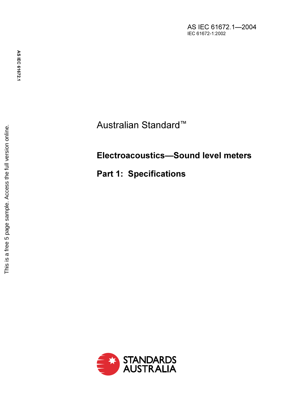Australian Standard ™

## Electroacoustics—Sound level meters

Part 1: Specifications

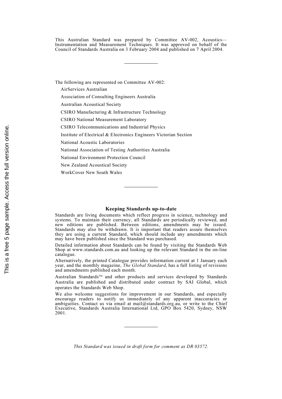This Australian Standard was prepared by Committee AV-002, Acoustics— Instrumentation and Measurement Techniques. It was approved on behalf of the Council of Standards Australia on 3 February 2004 and published on 7 April 2004.

The following are represented on Committee AV-002:

AirServices Australian

Association of Consulting Engineers Australia

Australian Acoustical Society

CSIRO Manufacturing & Infrastructure Technology

CSIRO National Measurement Laboratory

CSIRO Telecommunications and Industrial Physics

Institute of Electrical & Electronics Engineers Victorian Section

National Acoustic Laboratories

National Association of Testing Authorities Australia

National Environment Protection Council

New Zealand Acoustical Society

WorkCover New South Wales

#### Keeping Standards up-to-date

Standards are living documents which reflect progress in science, technology and systems. To maintain their currency, all Standards are periodically reviewed, and new editions are published. Between editions, amendments may be issued. Standards may also be withdrawn. It is important that readers assure themselves they are using a current Standard, which should include any amendments which may have been published since the Standard was purchased.

Detailed information about Standards can be found by visiting the Standards Web Shop at www.standards.com.au and looking up the relevant Standard in the on-line catalogue.

Alternatively, the printed Catalogue provides information current at 1 January each year, and the monthly magazine, *The Global Standard*, has a full listing of revisions and amendments published each month.

Australian Standards<sup>TM</sup> and other products and services developed by Standards Australia are published and distributed under contract by SAI Global, which operates the Standards Web Shop.

We also welcome suggestions for improvement in our Standards, and especially encourage readers to notify us immediately of any apparent inaccuracies or ambiguities. Contact us via email at mail@standards.org.au, or write to the Chief Executive, Standards Australia International Ltd, GPO Box 5420, Sydney, NSW 2001.

This Standard was issued in draft form for comment as DR 03572.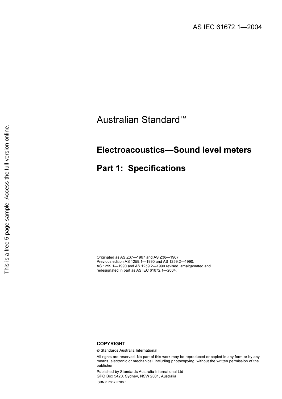# Australian Standard™

## Electroacoustics—Sound level meters

## Part 1: Specifications

Originated as AS Z37—1967 and AS Z38—1967. Previous edition AS 1259.1—1990 and AS 1259.2—1990. AS 1259.1—1990 and AS 1259.2—1990 revised, amalgamated and redesignated in part as AS IEC 61672.1—2004.

### **COPYRIGHT**

© Standards Australia International

All rights are reserved. No part of this work may be reproduced or copied in any form or by any means, electronic or mechanical, including photocopying, without the written permission of the publisher.

Published by Standards Australia International Ltd GPO Box 5420, Sydney, NSW 2001, Australia ISBN 0 7337 5786 3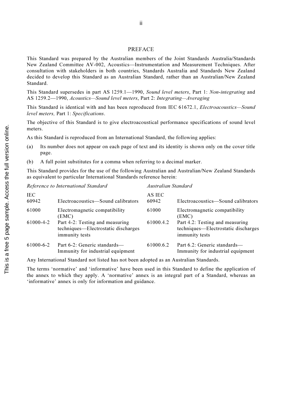### PREFACE

This Standard was prepared by the Australian members of the Joint Standards Australia/Standards New Zealand Committee AV-002, Acoustics—Instrumentation and Measurement Techniques. After consultation with stakeholders in both countries, Standards Australia and Standards New Zealand decided to develop this Standard as an Australian Standard, rather than an Australian/New Zealand Standard.

This Standard supersedes in part AS 1259.1—1990, Sound level meters, Part 1: Non-integrating and AS 1259.2—1990, Acoustics—Sound level meters, Part 2: Integrating—Averaging

This Standard is identical with and has been reproduced from IEC 61672.1, *Electroacoustics—Sound* level meters, Part 1: Specifications.

The objective of this Standard is to give electroacoustical performance specifications of sound level meters.

As this Standard is reproduced from an International Standard, the following applies:

- (a) Its number does not appear on each page of text and its identity is shown only on the cover title page.
- (b) A full point substitutes for a comma when referring to a decimal marker.

This Standard provides for the use of the following Australian and Australian/New Zealand Standards as equivalent to particular International Standards reference herein:

| Reference to International Standard |                                                                                          | Australian Standard |                                                                                          |
|-------------------------------------|------------------------------------------------------------------------------------------|---------------------|------------------------------------------------------------------------------------------|
| <b>IEC</b><br>60942                 | Electroacoustics—Sound calibrators                                                       | AS IEC<br>60942     | Electroacoustics—Sound calibrators                                                       |
| 61000                               | Electromagnetic compatibility<br>(EMC)                                                   | 61000               | Electromagnetic compatibility<br>(EMC)                                                   |
| 61000-4-2                           | Part 4-2: Testing and measuring<br>techniques—Electrostatic discharges<br>immunity tests | 61000.4.2           | Part 4.2: Testing and measuring<br>techniques—Electrostatic discharges<br>immunity tests |
| $61000 - 6 - 2$                     | Part 6-2: Generic standards—<br>Immunity for industrial equipment                        | 61000.6.2           | Part 6.2: Generic standards—<br>Immunity for industrial equipment                        |

Any International Standard not listed has not been adopted as an Australian Standards.

The terms 'normative' and 'informative' have been used in this Standard to define the application of the annex to which they apply. A 'normative' annex is an integral part of a Standard, whereas an 'informative' annex is only for information and guidance.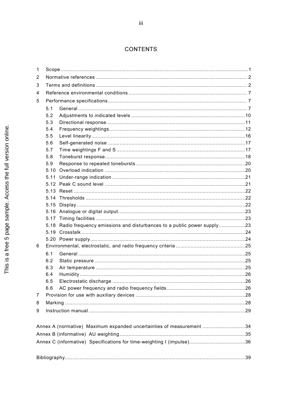### **CONTENTS**

| 1              |      |                                                                            |  |
|----------------|------|----------------------------------------------------------------------------|--|
| 2              |      |                                                                            |  |
| 3              |      |                                                                            |  |
| 4              |      |                                                                            |  |
| 5              |      |                                                                            |  |
|                | 5.1  |                                                                            |  |
|                | 5.2  |                                                                            |  |
|                | 5.3  |                                                                            |  |
|                | 5.4  |                                                                            |  |
|                | 5.5  |                                                                            |  |
|                | 5.6  |                                                                            |  |
|                | 5.7  |                                                                            |  |
|                | 5.8  |                                                                            |  |
|                | 5.9  |                                                                            |  |
|                | 5.10 |                                                                            |  |
|                | 5.11 |                                                                            |  |
|                |      |                                                                            |  |
|                |      |                                                                            |  |
|                |      |                                                                            |  |
|                |      |                                                                            |  |
|                |      |                                                                            |  |
|                |      |                                                                            |  |
|                |      | 5.18 Radio frequency emissions and disturbances to a public power supply23 |  |
|                |      |                                                                            |  |
|                |      |                                                                            |  |
| 6              |      |                                                                            |  |
|                | 6.1  |                                                                            |  |
|                | 6.2  |                                                                            |  |
|                | 6.3  |                                                                            |  |
|                | 6.4  |                                                                            |  |
|                | 6.5  |                                                                            |  |
|                | 6.6  |                                                                            |  |
| $\overline{7}$ |      |                                                                            |  |
| 8              |      |                                                                            |  |
| 9              |      |                                                                            |  |
|                |      |                                                                            |  |
|                |      | Annex A (normative) Maximum expanded uncertainties of measurement 34       |  |
|                |      |                                                                            |  |
|                |      |                                                                            |  |
|                |      |                                                                            |  |
|                |      |                                                                            |  |